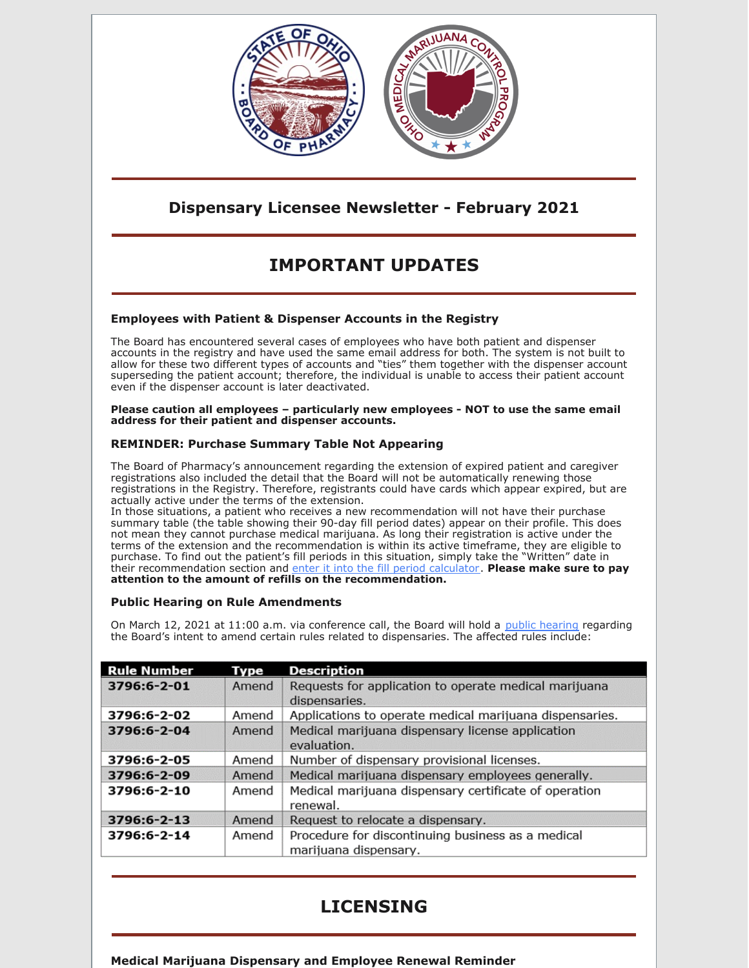

## **Dispensary Licensee Newsletter - February 2021**

# **IMPORTANT UPDATES**

## **Employees with Patient & Dispenser Accounts in the Registry**

The Board has encountered several cases of employees who have both patient and dispenser accounts in the registry and have used the same email address for both. The system is not built to allow for these two different types of accounts and "ties" them together with the dispenser account superseding the patient account; therefore, the individual is unable to access their patient account even if the dispenser account is later deactivated.

**Please caution all employees – particularly new employees - NOT to use the same email address for their patient and dispenser accounts.**

## **REMINDER: Purchase Summary Table Not Appearing**

The Board of Pharmacy's announcement regarding the extension of expired patient and caregiver registrations also included the detail that the Board will not be automatically renewing those registrations in the Registry. Therefore, registrants could have cards which appear expired, but are actually active under the terms of the extension.

In those situations, a patient who receives a new recommendation will not have their purchase summary table (the table showing their 90-day fill period dates) appear on their profile. This does not mean they cannot purchase medical marijuana. As long their registration is active under the terms of the extension and the recommendation is within its active timeframe, they are eligible to purchase. To find out the patient's fill periods in this situation, simply take the "Written" date in their recommendation section and enter it into the fill period [calculator](https://gcc01.safelinks.protection.outlook.com/?url=https%3A%2F%2Fwww.medicalmarijuana.ohio.gov%2FDocuments%2F90DaySupply%2FDocuments%2FPatient%2520Fill%2520Period%2520Calculator%2520-%2520Adobe%2520PDF%2520Version.pdf&data=04%7C01%7Cjessica.johnston%40pharmacy.ohio.gov%7C403fa806be1e439a149708d8a1eed1eb%7C50f8fcc494d84f0784eb36ed57c7c8a2%7C0%7C0%7C637437394437285665%7CUnknown%7CTWFpbGZsb3d8eyJWIjoiMC4wLjAwMDAiLCJQIjoiV2luMzIiLCJBTiI6Ik1haWwiLCJXVCI6Mn0%3D%7C1000&sdata=BN3IqhPW7xrL8ze99%2FbzBJ9OZDzQ8Ts487gs3%2FJYU5s%3D&reserved=0). **Please make sure to pay attention to the amount of refills on the recommendation.**

### **Public Hearing on Rule Amendments**

On March 12, 2021 at 11:00 a.m. via conference call, the Board will hold a public [hearing](https://www.pharmacy.ohio.gov/Documents/LawsRules/ProposedRules/JointCommittee/Public Hearing 3.12.2021.pdf) regarding the Board's intent to amend certain rules related to dispensaries. The affected rules include:

| <b>Rule Number</b> | Type  | <b>Description</b>                                                         |
|--------------------|-------|----------------------------------------------------------------------------|
| 3796:6-2-01        | Amend | Requests for application to operate medical marijuana<br>dispensaries.     |
| 3796:6-2-02        | Amend | Applications to operate medical marijuana dispensaries.                    |
| 3796:6-2-04        | Amend | Medical marijuana dispensary license application<br>evaluation.            |
| 3796:6-2-05        | Amend | Number of dispensary provisional licenses.                                 |
| 3796:6-2-09        | Amend | Medical marijuana dispensary employees generally.                          |
| 3796:6-2-10        | Amend | Medical marijuana dispensary certificate of operation<br>renewal.          |
| 3796:6-2-13        | Amend | Request to relocate a dispensary.                                          |
| 3796:6-2-14        | Amend | Procedure for discontinuing business as a medical<br>marijuana dispensary. |

## **LICENSING**

**Medical Marijuana Dispensary and Employee Renewal Reminder**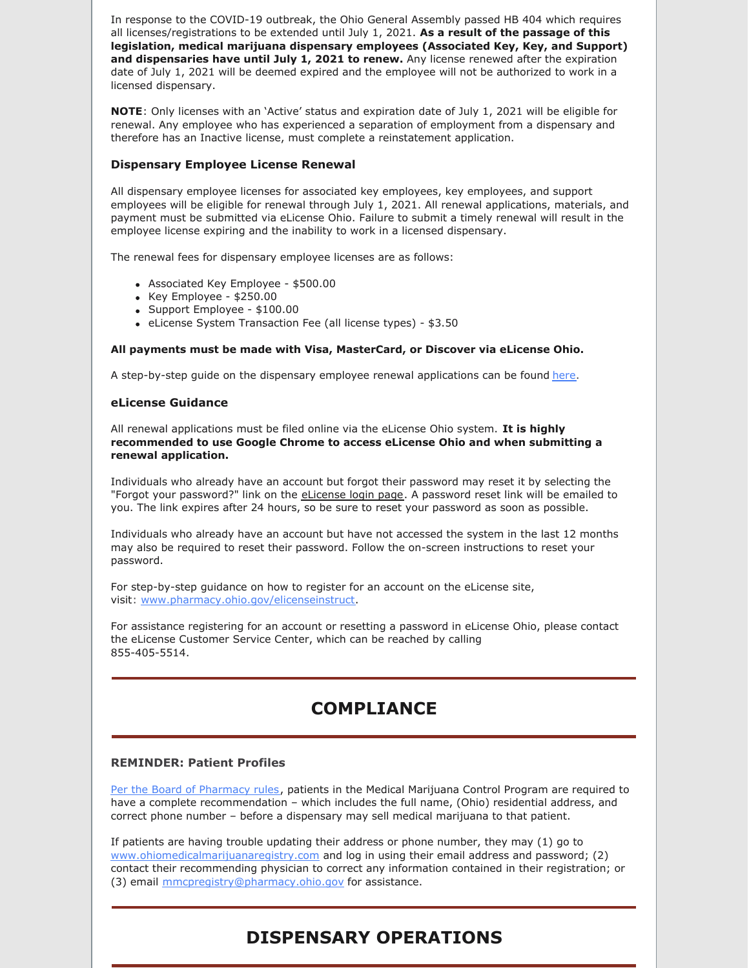In response to the COVID-19 outbreak, the Ohio General Assembly passed HB 404 which requires all licenses/registrations to be extended until July 1, 2021. **As a result of the passage of this legislation, medical marijuana dispensary employees (Associated Key, Key, and Support) and dispensaries have until July 1, 2021 to renew.** Any license renewed after the expiration date of July 1, 2021 will be deemed expired and the employee will not be authorized to work in a licensed dispensary.

**NOTE**: Only licenses with an 'Active' status and expiration date of July 1, 2021 will be eligible for renewal. Any employee who has experienced a separation of employment from a dispensary and therefore has an Inactive license, must complete a reinstatement application.

### **Dispensary Employee License Renewal**

All dispensary employee licenses for associated key employees, key employees, and support employees will be eligible for renewal through July 1, 2021. All renewal applications, materials, and payment must be submitted via eLicense Ohio. Failure to submit a timely renewal will result in the employee license expiring and the inability to work in a licensed dispensary.

The renewal fees for dispensary employee licenses are as follows:

- Associated Key Employee \$500.00
- $\bullet$  Key Employee \$250.00
- Support Employee \$100.00
- eLicense System Transaction Fee (all license types) \$3.50

#### **All payments must be made with Visa, MasterCard, or Discover via eLicense Ohio.**

A step-by-step guide on the dispensary employee renewal applications can be found [here](http://r20.rs6.net/tn.jsp?f=001P4RZ4gs7fRcihU6TcVi3lx7i9kxptT7g7Sd5O7sZ6BcmeYmA07ErgEOPaM3FVUVDntPE-V6FLCfxjsXq39NIPl-lfSBmXoK3fERGXnt0H1Ccev5tFbD0hQBQV8XPTR4vHxNQrbXwKcvdu9DEFnRMBidZAW89XoghDJe_gtA8R4SKjHx5Xd_8BOjCK1IiNBqwOOpOAThbOtX_beeRmWzvpypVgSryRoG4_NOJyqAK-lR6o_eqG0tu3DWXJRLvIeDWlKu6ZQijzBGgKSFU_SEN66_y9WVIQAbIWfJq9rzzBvIPaCt63EeWhQf5eaCmHa1aMaQL2kjoLAX0Rfx2nHN9RnexL5LABceCDbmZ5SFBFwAjX-zsguY_z0AIfOrnKVE1khPXOHyn8dERhtEL2lmIXhaobeIwW5h9ra7osHs8g3Pps8O-2aTkScHIWjkc8CTw0iIqGcVoKYTiKm96AMKMCPQmxuIWuYs0mdzUCdiT_182PtxbU9BQezjgcSHp-32gsjKQx_MjdOVPTab-MoEwA7M2YzIKSG3aQ9wX6RrO9bbJJs85pYZWnLp6uEXQkHo1d3aZ2Ql6h_kTZvVt1NWBEEYi4JXT-jNnAlrEKyGSi8OgzZd4fyWBW6LRLl9KHY3sNZDgWR4VjX9i_d4p-kmK5SF36G5IH5POkOlor97t--NdoR8PnGfyAI53tzECKCnDZ-sferqvdrndQ0neXQHAoryhWXsT_sjzY8kVMB43oec-iBuHeZrrcuG_nIh6KdatSvHuKiMjnygMVsaSX9vOixKJ1FKjZhAPZIDBakdZMk75TVAMgSiCm43goKbS38Lg_QhzhPediMrYxur7vCecf6XSl68Nsh-jwAANDcYuRlwb2w4WcR5-r1QcpGzN9e_gshTOiqVJRL4=&c=D8lBCjJfIh9xQL8JvRYMFvNoJq2nJr1TP_LiDdHC9vds_mn2UeGA2w==&ch=8I9YGjY2yWHhDGuJ0nriiHDShgTUbmyV_RZXsHKXcMC9mipmwtnT3A==).

#### **eLicense Guidance**

All renewal applications must be filed online via the eLicense Ohio system. **It is highly recommended to use Google Chrome to access eLicense Ohio and when submitting a renewal application.**

Individuals who already have an account but forgot their password may reset it by selecting the "Forgot your password?" link on the [eLicense](http://r20.rs6.net/tn.jsp?f=001P4RZ4gs7fRcihU6TcVi3lx7i9kxptT7g7Sd5O7sZ6BcmeYmA07ErgEOPaM3FVUVDQVokvRszqENKpMcUNLmuz1kiVnJVUubOqj812qDD-gCEOCAilHCQQBe6UFKYcLTFKfPyjv6TT0qPNvpfYUmjkPIGYyMKnkE3V1exiJPPrQ4MkyD7tDUwdygazm56s1KMzWtMhiGSPUqd3XTwsCmMuBcvW8IeFjl4ccZqrNA_Yi700pDk9WgArlzuJ-EFwM-_ZUj3HIXELnEpBP0lWpZ80ZegXNM60BFi8f4RPFpXrkxuUtygL2pLTCdROdL7Jxh67ZMOpSwlaW96KP3h_68Cm2ChW-1OwFepTvc5X6cv8ft5o_5F7Sqb6GPH-L_GLfsYoRZjALqmKioWouY0JUEQsOByysc2FxqP6rOzYac_D8ZNeA51zu3SC17_OM04UYFXUa8DkTpbNLySrA7MANRwWj8lnqphULR8zVR1LOhKeqfAOArgU7L1YEe1UT8C9r5kW2AS3pAmYNpOmom9nkW-Pe7bEY-2yq_pnsDa7E1oCiA9JSYqAbLLsQedejge9EM0T7RoI-Ukjub0G6sOVtFuKg==&c=D8lBCjJfIh9xQL8JvRYMFvNoJq2nJr1TP_LiDdHC9vds_mn2UeGA2w==&ch=8I9YGjY2yWHhDGuJ0nriiHDShgTUbmyV_RZXsHKXcMC9mipmwtnT3A==) login page. A password reset link will be emailed to you. The link expires after 24 hours, so be sure to reset your password as soon as possible.

Individuals who already have an account but have not accessed the system in the last 12 months may also be required to reset their password. Follow the on-screen instructions to reset your password.

For step-by-step guidance on how to register for an account on the eLicense site, visit: [www.pharmacy.ohio.gov/elicenseinstruct](http://r20.rs6.net/tn.jsp?f=001P4RZ4gs7fRcihU6TcVi3lx7i9kxptT7g7Sd5O7sZ6BcmeYmA07ErgEOPaM3FVUVDs996t3MwwcSDbVIXfKjuMkt3bkL5rhg9iNrCN7rA_Zp0a1uH9yaHCIVYRESnTlsamJCmjeyEyZD7QAbnM49Lc2jCqfSzZXq5PcXLYCKSv_UWM2ziyJiGHpd8Heqad-dDGn17DPht1x9iyqAt4Zdu9Fl2aspfpZg2v8UrSc5JB3jFP9pU7aPe4K8WBB1-AWRfT6OnImhC2E2MZNUPM_oGSZJwfewBv0Z6eMdR3lo9_QPx__xFTwZGowt0NUWJ0aUtt9phvHBudXOr7VIUXd1h6GD84XvVEO1JEogj0_XsL7wBkgrGv_UN-6fZ8-rme7aZBCfpZrx0mwpdTqURJLNApxgqahHuKFVkRufp_0ntWNLYToLTjdIuLRPlJ3kP1x8nLF9XWACIs2oHfw4apEK-u5TErCF_IyWepe9A-nsLtzwcl3FzxaOwzlfYkcf4PptQhMqE1SG5mADBjshDuEovWcKbRpx0hN2bGbf4VGtkZtO2wYGxpbYs4mkjsCC_quFrGF2_LWwQiOjtWjSx3-TnlWoxQfb-rVYsyh8JIuqLnsw=&c=D8lBCjJfIh9xQL8JvRYMFvNoJq2nJr1TP_LiDdHC9vds_mn2UeGA2w==&ch=8I9YGjY2yWHhDGuJ0nriiHDShgTUbmyV_RZXsHKXcMC9mipmwtnT3A==).

For assistance registering for an account or resetting a password in eLicense Ohio, please contact the eLicense Customer Service Center, which can be reached by calling 855-405-5514.

## **COMPLIANCE**

#### **REMINDER: Patient Profiles**

Per the Board of [Pharmacy](http://codes.ohio.gov/oac/3796:6-3-08v1) rules, patients in the Medical Marijuana Control Program are required to have a complete recommendation – which includes the full name, (Ohio) residential address, and correct phone number – before a dispensary may sell medical marijuana to that patient.

If patients are having trouble updating their address or phone number, they may (1) go to [www.ohiomedicalmarijuanaregistry.com](http://www.ohiomedicalmarijuanaregistry.com) and log in using their email address and password; (2) contact their recommending physician to correct any information contained in their registration; or (3) email [mmcpregistry@pharmacy.ohio.gov](mailto:mmcpregistry@pharmacy.ohio.gov) for assistance.

## **DISPENSARY OPERATIONS**